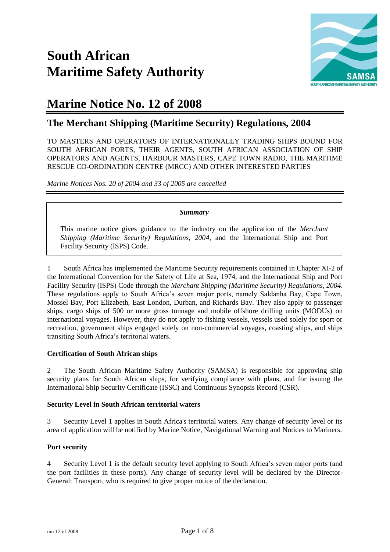# **South African Maritime Safety Authority**



## **Marine Notice No. 12 of 2008**

### **The Merchant Shipping (Maritime Security) Regulations, 2004**

TO MASTERS AND OPERATORS OF INTERNATIONALLY TRADING SHIPS BOUND FOR SOUTH AFRICAN PORTS, THEIR AGENTS, SOUTH AFRICAN ASSOCIATION OF SHIP OPERATORS AND AGENTS, HARBOUR MASTERS, CAPE TOWN RADIO, THE MARITIME RESCUE CO-ORDINATION CENTRE (MRCC) AND OTHER INTERESTED PARTIES

*Marine Notices Nos. 20 of 2004 and 33 of 2005 are cancelled*

#### *Summary*

This marine notice gives guidance to the industry on the application of the *Merchant Shipping (Maritime Security) Regulations, 2004*, and the International Ship and Port Facility Security (ISPS) Code.

1 South Africa has implemented the Maritime Security requirements contained in Chapter XI-2 of the International Convention for the Safety of Life at Sea, 1974, and the International Ship and Port Facility Security (ISPS) Code through the *Merchant Shipping (Maritime Security) Regulations, 2004*. These regulations apply to South Africa's seven major ports, namely Saldanha Bay, Cape Town, Mossel Bay, Port Elizabeth, East London, Durban, and Richards Bay. They also apply to passenger ships, cargo ships of 500 or more gross tonnage and mobile offshore drilling units (MODUs) on international voyages. However, they do not apply to fishing vessels, vessels used solely for sport or recreation, government ships engaged solely on non-commercial voyages, coasting ships, and ships transiting South Africa's territorial waters.

#### **Certification of South African ships**

2 The South African Maritime Safety Authority (SAMSA) is responsible for approving ship security plans for South African ships, for verifying compliance with plans, and for issuing the International Ship Security Certificate (ISSC) and Continuous Synopsis Record (CSR).

#### **Security Level in South African territorial waters**

3 Security Level 1 applies in South Africa's territorial waters. Any change of security level or its area of application will be notified by Marine Notice, Navigational Warning and Notices to Mariners.

#### **Port security**

4 Security Level 1 is the default security level applying to South Africa's seven major ports (and the port facilities in these ports). Any change of security level will be declared by the Director-General: Transport, who is required to give proper notice of the declaration.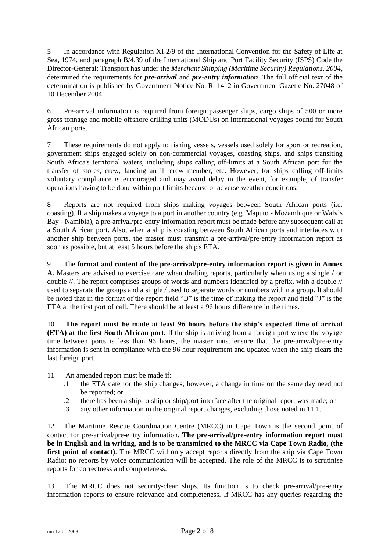5 In accordance with Regulation XI-2/9 of the International Convention for the Safety of Life at Sea, 1974, and paragraph B/4.39 of the International Ship and Port Facility Security (ISPS) Code the Director-General: Transport has under the *Merchant Shipping (Maritime Security) Regulations, 2004*, determined the requirements for *pre-arrival* and *pre-entry information*. The full official text of the determination is published by Government Notice No. R. 1412 in Government Gazette No. 27048 of 10 December 2004.

6 Pre-arrival information is required from foreign passenger ships, cargo ships of 500 or more gross tonnage and mobile offshore drilling units (MODUs) on international voyages bound for South African ports.

7 These requirements do not apply to fishing vessels, vessels used solely for sport or recreation, government ships engaged solely on non-commercial voyages, coasting ships, and ships transiting South Africa's territorial waters, including ships calling off-limits at a South African port for the transfer of stores, crew, landing an ill crew member, etc. However, for ships calling off-limits voluntary compliance is encouraged and may avoid delay in the event, for example, of transfer operations having to be done within port limits because of adverse weather conditions.

8 Reports are not required from ships making voyages between South African ports (i.e. coasting). If a ship makes a voyage to a port in another country (e.g. Maputo - Mozambique or Walvis Bay - Namibia), a pre-arrival/pre-entry information report must be made before any subsequent call at a South African port. Also, when a ship is coasting between South African ports and interfaces with another ship between ports, the master must transmit a pre-arrival/pre-entry information report as soon as possible, but at least 5 hours before the ship's ETA.

9 The **format and content of the pre-arrival/pre-entry information report is given in Annex A.** Masters are advised to exercise care when drafting reports, particularly when using a single / or double //. The report comprises groups of words and numbers identified by a prefix, with a double // used to separate the groups and a single / used to separate words or numbers within a group. It should be noted that in the format of the report field "B" is the time of making the report and field "J" is the ETA at the first port of call. There should be at least a 96 hours difference in the times.

10 **The report must be made at least 96 hours before the ship's expected time of arrival (ETA) at the first South African port.** If the ship is arriving from a foreign port where the voyage time between ports is less than 96 hours, the master must ensure that the pre-arrival/pre-entry information is sent in compliance with the 96 hour requirement and updated when the ship clears the last foreign port.

- 11 An amended report must be made if:
	- .1 the ETA date for the ship changes; however, a change in time on the same day need not be reported; or
	- .2 there has been a ship-to-ship or ship/port interface after the original report was made; or
	- .3 any other information in the original report changes, excluding those noted in 11.1.

12 The Maritime Rescue Coordination Centre (MRCC) in Cape Town is the second point of contact for pre-arrival/pre-entry information. **The pre-arrival/pre-entry information report must be in English and in writing, and is to be transmitted to the MRCC via Cape Town Radio, (the**  first point of contact). The MRCC will only accept reports directly from the ship via Cape Town Radio; no reports by voice communication will be accepted. The role of the MRCC is to scrutinise reports for correctness and completeness.

13 The MRCC does not security-clear ships. Its function is to check pre-arrival/pre-entry information reports to ensure relevance and completeness. If MRCC has any queries regarding the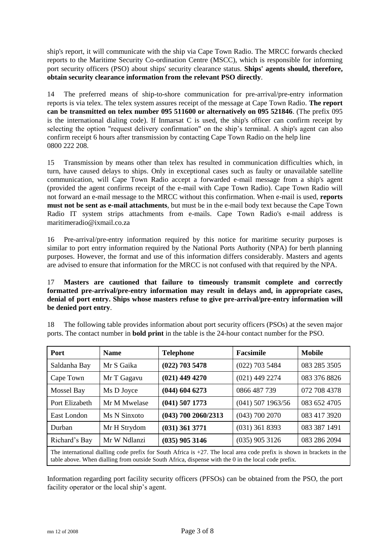ship's report, it will communicate with the ship via Cape Town Radio. The MRCC forwards checked reports to the Maritime Security Co-ordination Centre (MSCC), which is responsible for informing port security officers (PSO) about ships' security clearance status. **Ships' agents should, therefore, obtain security clearance information from the relevant PSO directly**.

14 The preferred means of ship-to-shore communication for pre-arrival/pre-entry information reports is via telex. The telex system assures receipt of the message at Cape Town Radio. **The report can be transmitted on telex number 095 511600 or alternatively on 095 521846**. (The prefix 095 is the international dialing code). If Inmarsat C is used, the ship's officer can confirm receipt by selecting the option "request delivery confirmation" on the ship's terminal. A ship's agent can also confirm receipt 6 hours after transmission by contacting Cape Town Radio on the help line 0800 222 208.

15 Transmission by means other than telex has resulted in communication difficulties which, in turn, have caused delays to ships. Only in exceptional cases such as faulty or unavailable satellite communication, will Cape Town Radio accept a forwarded e-mail message from a ship's agent (provided the agent confirms receipt of the e-mail with Cape Town Radio). Cape Town Radio will not forward an e-mail message to the MRCC without this confirmation. When e-mail is used, **reports must not be sent as e-mail attachments**, but must be in the e-mail body text because the Cape Town Radio IT system strips attachments from e-mails. Cape Town Radio's e-mail address is maritimeradio@ixmail.co.za

16 Pre-arrival/pre-entry information required by this notice for maritime security purposes is similar to port entry information required by the National Ports Authority (NPA) for berth planning purposes. However, the format and use of this information differs considerably. Masters and agents are advised to ensure that information for the MRCC is not confused with that required by the NPA.

#### 17 **Masters are cautioned that failure to timeously transmit complete and correctly formatted pre-arrival/pre-entry information may result in delays and, in appropriate cases, denial of port entry. Ships whose masters refuse to give pre-arrival/pre-entry information will be denied port entry**.

18 The following table provides information about port security officers (PSOs) at the seven major ports. The contact number in **bold print** in the table is the 24-hour contact number for the PSO.

| <b>Port</b>                                                                                                                                                                                                                       | <b>Name</b>  | <b>Telephone</b>      | <b>Facsimile</b>    | <b>Mobile</b> |
|-----------------------------------------------------------------------------------------------------------------------------------------------------------------------------------------------------------------------------------|--------------|-----------------------|---------------------|---------------|
| Saldanha Bay                                                                                                                                                                                                                      | Mr S Gaika   | $(022)$ 703 5478      | $(022)$ 703 5484    | 083 285 3505  |
| Cape Town                                                                                                                                                                                                                         | Mr T Gagavu  | $(021)$ 449 4270      | $(021)$ 449 2274    | 083 376 8826  |
| Mossel Bay                                                                                                                                                                                                                        | Ms D Joyce   | $(044)$ 604 6273      | 0866 487 739        | 072 708 4378  |
| Port Elizabeth                                                                                                                                                                                                                    | Mr M Mwelase | $(041)$ 507 1773      | $(041)$ 507 1963/56 | 083 652 4705  |
| East London                                                                                                                                                                                                                       | Ms N Sinxoto | $(043)$ 700 2060/2313 | $(043)$ 700 2070    | 083 417 3920  |
| Durban                                                                                                                                                                                                                            | Mr H Strydom | $(031)$ 361 3771      | $(031)$ 361 8393    | 083 387 1491  |
| Richard's Bay                                                                                                                                                                                                                     | Mr W Ndlanzi | $(035)$ 905 3146      | $(035)$ 905 3126    | 083 286 2094  |
| The international dialling code prefix for South Africa is $+27$ . The local area code prefix is shown in brackets in the<br>toble charge. When dielling from enteide Conthe Africa, dispense with the O in the local sode nuclin |              |                       |                     |               |

table above. When dialling from outside South Africa, dispense with the 0 in the local code prefix.

Information regarding port facility security officers (PFSOs) can be obtained from the PSO, the port facility operator or the local ship's agent.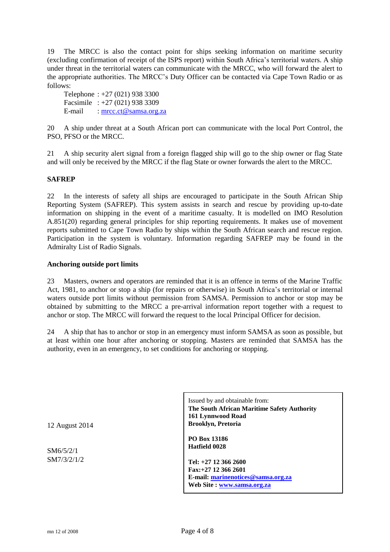19 The MRCC is also the contact point for ships seeking information on maritime security (excluding confirmation of receipt of the ISPS report) within South Africa's territorial waters. A ship under threat in the territorial waters can communicate with the MRCC, who will forward the alert to the appropriate authorities. The MRCC's Duty Officer can be contacted via Cape Town Radio or as follows:

Telephone : +27 (021) 938 3300 Facsimile : +27 (021) 938 3309 E-mail : [mrcc.ct@samsa.org.za](mailto:mrcc.ct@samsa.org.za)

20 A ship under threat at a South African port can communicate with the local Port Control, the PSO, PFSO or the MRCC.

21 A ship security alert signal from a foreign flagged ship will go to the ship owner or flag State and will only be received by the MRCC if the flag State or owner forwards the alert to the MRCC.

#### **SAFREP**

22 In the interests of safety all ships are encouraged to participate in the South African Ship Reporting System (SAFREP). This system assists in search and rescue by providing up-to-date information on shipping in the event of a maritime casualty. It is modelled on IMO Resolution A.851(20) regarding general principles for ship reporting requirements. It makes use of movement reports submitted to Cape Town Radio by ships within the South African search and rescue region. Participation in the system is voluntary. Information regarding SAFREP may be found in the Admiralty List of Radio Signals.

#### **Anchoring outside port limits**

23 Masters, owners and operators are reminded that it is an offence in terms of the Marine Traffic Act, 1981, to anchor or stop a ship (for repairs or otherwise) in South Africa's territorial or internal waters outside port limits without permission from SAMSA. Permission to anchor or stop may be obtained by submitting to the MRCC a pre-arrival information report together with a request to anchor or stop. The MRCC will forward the request to the local Principal Officer for decision.

24 A ship that has to anchor or stop in an emergency must inform SAMSA as soon as possible, but at least within one hour after anchoring or stopping. Masters are reminded that SAMSA has the authority, even in an emergency, to set conditions for anchoring or stopping.

12 August 2014

SM6/5/2/1 SM7/3/2/1/2 Issued by and obtainable from: **The South African Maritime Safety Authority 161 Lynnwood Road Brooklyn, Pretoria**

**PO Box 13186 Hatfield 0028**

**Tel: +27 12 366 2600 Fax:+27 12 366 2601 E-mail: [marinenotices@samsa.org.za](mailto:marinenotices@samsa.org.za) Web Site : [www.samsa.org.za](http://www.samsa.org.za/)**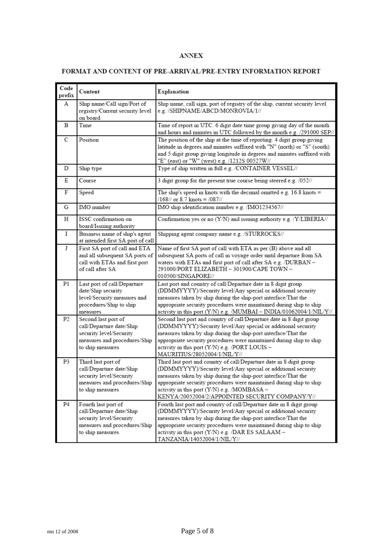#### ${\bf ANNEX}$

#### FORMAT AND CONTENT OF PRE-ARRIVAL/PRE-ENTRY INFORMATION REPORT

| Code<br>prefix | Content                                                                                                                        | Explanation                                                                                                                                                                                                                                                                                                                                                                    |  |
|----------------|--------------------------------------------------------------------------------------------------------------------------------|--------------------------------------------------------------------------------------------------------------------------------------------------------------------------------------------------------------------------------------------------------------------------------------------------------------------------------------------------------------------------------|--|
| А              | Ship name/Call sign/Port of<br>registry/Current security level<br>on board                                                     | Ship name, call sign, port of registry of the ship, current security level<br>e.g. /SHIPNAME/ABCD/MONROVIA/1//                                                                                                                                                                                                                                                                 |  |
| B              | Time                                                                                                                           | Time of report in UTC. 6 digit date time group giving day of the month<br>and hours and minutes in UTC followed by the month e.g. /291000 SEP//                                                                                                                                                                                                                                |  |
| C              | Position                                                                                                                       | The position of the ship at the time of reporting. 4 digit group giving<br>latitude in degrees and minutes suffixed with "N" (north) or "S" (south)<br>and 5 digit group giving longitude in degrees and minutes suffixed with<br>"E" (east) or "W" (west) e.g. /1212S 00527W//                                                                                                |  |
| D              | Ship type                                                                                                                      | Type of ship written in full e.g. /CONTAINER VESSEL//                                                                                                                                                                                                                                                                                                                          |  |
| E              | Course                                                                                                                         | 3 digit group for the present true course being steered e.g. /052//                                                                                                                                                                                                                                                                                                            |  |
| $\rm F$        | Speed                                                                                                                          | The ship's speed in knots with the decimal omitted e.g. $16.8$ knots =<br>$(168)/$ or 8.7 knots = $(087)/$                                                                                                                                                                                                                                                                     |  |
| G              | IMO number                                                                                                                     | IMO ship identification number e.g. /IMO1234567//                                                                                                                                                                                                                                                                                                                              |  |
| Н              | ISSC confirmation on<br>board/Issuing authority                                                                                | Confirmation yes or no (Y/N) and issuing authority e.g. /Y/LIBERIA//                                                                                                                                                                                                                                                                                                           |  |
| I              | Business name of ship's agent<br>at intended first SA port of call                                                             | Shipping agent company name e.g. /STURROCKS//                                                                                                                                                                                                                                                                                                                                  |  |
| J              | First SA port of call and ETA<br>and all subsequent SA ports of<br>call with ETAs and first port<br>of call after SA           | Name of first SA port of call with ETA as per (B) above and all<br>subsequent SA ports of call in voyage order until departure from SA<br>waters with ETAs and first port of call after SA e.g. /DURBAN -<br>291000/PORT ELIZABETH - 301900/CAPE TOWN -<br>010500/SINGAPORE//                                                                                                  |  |
| P1             | Last port of call/Departure<br>date/Ship security<br>level/Security measures and<br>procedures/Ship to ship<br>measures        | Last port and country of call/Departure date in 8 digit group<br>(DDMMYYYY)/Security level/Any special or additional security<br>measures taken by ship during the ship-port interface/That the<br>appropriate security procedures were maintained during ship to ship<br>activity in this port (Y/N) e.g. /MUMBAI - INDIA/01062004/1/NIL/Y//                                  |  |
| P2             | Second last port of<br>call/Departure date/Ship<br>security level/Security<br>measures and procedures/Ship<br>to ship measures | Second last port and country of call/Departure date in 8 digit group<br>(DDMMYYYY)/Security level/Any special or additional security<br>measures taken by ship during the ship-port interface/That the<br>appropriate security procedures were maintained during ship to ship<br>activity in this port (Y/N) e.g. /PORT LOUIS -<br>MAURITIUS/28052004/1/NIL/Y//                |  |
| P3             | Third last port of<br>call/Departure date/Ship<br>security level/Security<br>measures and procedures/Ship<br>to ship measures  | Third last port and country of call/Departure date in 8 digit group<br>(DDMMYYYY)/Security level/Any special or additional security<br>measures taken by ship during the ship-port interface/That the<br>appropriate security procedures were maintained during ship to ship<br>activity in this port (Y/N) e.g. /MOMBASA -<br>KENYA/20052004/2/APPOINTED SECURITY COMPANY/Y// |  |
| P4             | Fourth last port of<br>call/Departure date/Ship<br>security level/Security<br>measures and procedures/Ship<br>to ship measures | Fourth last port and country of call/Departure date in 8 digit group<br>(DDMMYYYY)/Security level/Any special or additional security<br>measures taken by ship during the ship-port interface/That the<br>appropriate security procedures were maintained during ship to ship<br>activity in this port (Y/N) e.g. /DAR ES SALAAM -<br>TANZANIA/14052004/1/NIL/Y//              |  |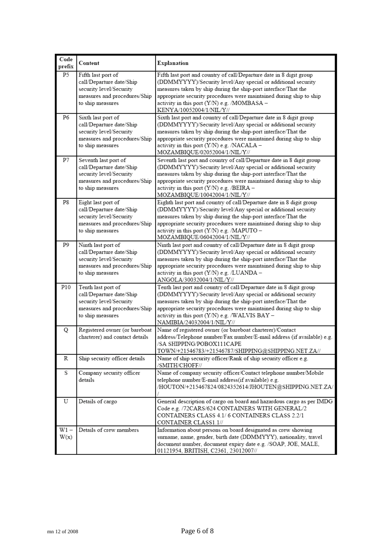| Code<br>prefix | Content                                                                                                                         | Explanation                                                                                                                                                                                                                                                                                                                                                  |
|----------------|---------------------------------------------------------------------------------------------------------------------------------|--------------------------------------------------------------------------------------------------------------------------------------------------------------------------------------------------------------------------------------------------------------------------------------------------------------------------------------------------------------|
| P5             | Fifth last port of<br>call/Departure date/Ship<br>security level/Security<br>measures and procedures/Ship<br>to ship measures   | Fifth last port and country of call/Departure date in 8 digit group<br>(DDMMYYYY)/Security level/Any special or additional security<br>measures taken by ship during the ship-port interface/That the<br>appropriate security procedures were maintained during ship to ship<br>activity in this port (Y/N) e.g. /MOMBASA -<br>KENYA/10052004/1/NIL/Y//      |
| P6             | Sixth last port of<br>call/Departure date/Ship<br>security level/Security<br>measures and procedures/Ship<br>to ship measures   | Sixth last port and country of call/Departure date in 8 digit group<br>(DDMMYYYY)/Security level/Any special or additional security<br>measures taken by ship during the ship-port interface/That the<br>appropriate security procedures were maintained during ship to ship<br>activity in this port (Y/N) e.g. /NACALA -<br>MOZAMBIQUE/02052004/1/NIL/Y//  |
| P7             | Seventh last port of<br>call/Departure date/Ship<br>security level/Security<br>measures and procedures/Ship<br>to ship measures | Seventh last port and country of call/Departure date in 8 digit group<br>(DDMMYYYY)/Security level/Any special or additional security<br>measures taken by ship during the ship-port interface/That the<br>appropriate security procedures were maintained during ship to ship<br>activity in this port (Y/N) e.g. /BEIRA -<br>MOZAMBIQUE/10042004/1/NIL/Y// |
| P8             | Eight last port of<br>call/Departure date/Ship<br>security level/Security<br>measures and procedures/Ship<br>to ship measures   | Eighth last port and country of call/Departure date in 8 digit group<br>(DDMMYYYY)/Security level/Any special or additional security<br>measures taken by ship during the ship-port interface/That the<br>appropriate security procedures were maintained during ship to ship<br>activity in this port (Y/N) e.g. /MAPUTO -<br>MOZAMBIQUE/06042004/1/NIL/Y// |
| P9             | Ninth last port of<br>call/Departure date/Ship<br>security level/Security<br>measures and procedures/Ship<br>to ship measures   | Ninth last port and country of call/Departure date in 8 digit group<br>(DDMMYYYY)/Security level/Any special or additional security<br>measures taken by ship during the ship-port interface/That the<br>appropriate security procedures were maintained during ship to ship<br>activity in this port (Y/N) e.g. /LUANDA -<br>ANGOLA/30032004/1/NIL/Y//      |
| P10            | Tenth last port of<br>call/Departure date/Ship<br>security level/Security<br>measures and procedures/Ship<br>to ship measures   | Tenth last port and country of call/Departure date in 8 digit group<br>(DDMMYYYY)/Security level/Any special or additional security<br>measures taken by ship during the ship-port interface/That the<br>appropriate security procedures were maintained during ship to ship<br>activity in this port (Y/N) e.g. /WALVIS BAY -<br>NAMIBIA/24032004/1/NIL/Y// |
| Q              | Registered owner (or bareboat<br>charterer) and contact details                                                                 | Name of registered owner (or bareboat charterer)/Contact<br>address/Telephone number/Fax number/E-mail address (if available) e.g.<br>/SA SHIPPING/POBOX111CAPE<br>TOWN/+21546783/+21546787/SHIPPING@SHIPPING.NET.ZA//                                                                                                                                       |
| R              | Ship security officer details                                                                                                   | Name of ship security officer/Rank of ship security officer e.g.<br>/SMITH/CHOFF//                                                                                                                                                                                                                                                                           |
| S              | Company security officer<br>details                                                                                             | Name of company security officer/Contact telephone number/Mobile<br>telephone number/E-mail address(if available) e.g.<br>/HOUTON/+215467824/0824352614/JHOUTEN@SHIPPING.NET.ZA/                                                                                                                                                                             |
| U              | Details of cargo                                                                                                                | General description of cargo on board and hazardous cargo as per IMDG<br>Code e.g. /72CARS/624 CONTAINERS WITH GENERAL/2<br>CONTAINERS CLASS 4.1/6 CONTAINERS CLASS 2.2/1<br>CONTAINER CLASS1.1//                                                                                                                                                            |
| W1 –<br>W(x)   | Details of crew members                                                                                                         | Information about persons on board designated as crew showing<br>surname, name, gender, birth date (DDMMYYY), nationality, travel<br>document number, document expiry date e.g. /SOAP, JOE, MALE,<br>01121954, BRITISH, C2361, 23012007//                                                                                                                    |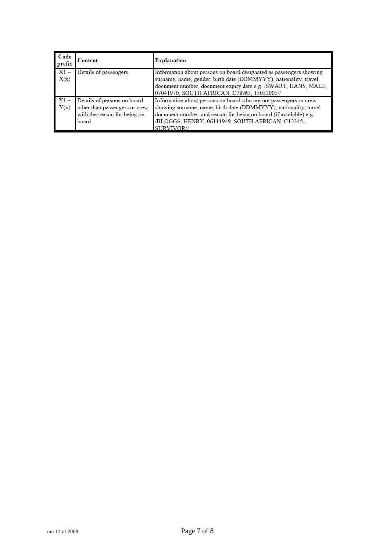| Code<br>prefix | Content                                                                                                 | Explanation                                                                                                                                                                                                                                                                   |
|----------------|---------------------------------------------------------------------------------------------------------|-------------------------------------------------------------------------------------------------------------------------------------------------------------------------------------------------------------------------------------------------------------------------------|
| $X1 -$<br>X(x) | Details of passengers                                                                                   | Information about persons on board designated as passengers showing<br>surname, name, gender, birth date (DDMMYYY), nationality, travel<br>document number, document expiry date e.g. /SWART, HANS, MALE,<br>07041970, SOUTH AFRICAN, C78965, 15052005//                      |
| Y1<br>Y(x)     | Details of persons on board,<br>other than passengers or crew,<br>with the reason for being on<br>board | Information about persons on board who are not passengers or crew<br>showing surname, name, birth date (DDMMYYY), nationality, travel<br>document number, and reason for being on board (if available) e.g.<br>/BLOGGS, HENRY, 06111949, SOUTH AFRICAN, C12345,<br>SURVIVOR// |